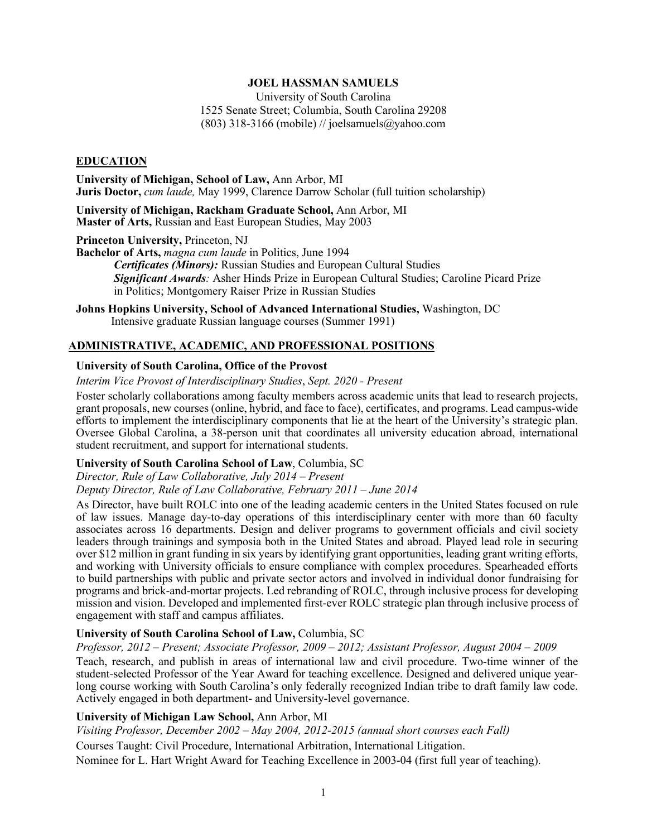#### **JOEL HASSMAN SAMUELS**

 University of South Carolina 1525 Senate Street; Columbia, South Carolina 29208 (803) 318-3166 (mobile) // [joelsamuels@yahoo.com](mailto:joelsamuels@yahoo.com) 

#### **EDUCATION**

 **University of Michigan, School of Law,** Ann Arbor, MI  **Juris Doctor,** *cum laude,* May 1999, Clarence Darrow Scholar (full tuition scholarship)

 **University of Michigan, Rackham Graduate School,** Ann Arbor, MI  **Master of Arts,** Russian and East European Studies, May 2003

 **Princeton University,** Princeton, NJ

 **Bachelor of Arts,** *magna cum laude* in Politics, June 1994  *Certificates (Minors):* Russian Studies and European Cultural Studies *Significant Awards:* Asher Hinds Prize in European Cultural Studies; Caroline Picard Prize in Politics; Montgomery Raiser Prize in Russian Studies

 **Johns Hopkins University, School of Advanced International Studies,** Washington, DC Intensive graduate Russian language courses (Summer 1991)

# **ADMINISTRATIVE, ACADEMIC, AND PROFESSIONAL POSITIONS**

#### **University of South Carolina, Office of the Provost**

 *Interim Vice Provost of Interdisciplinary Studies*, *Sept. 2020 - Present* 

 Foster scholarly collaborations among faculty members across academic units that lead to research projects, grant proposals, new courses (online, hybrid, and face to face), certificates, and programs. Lead campus-wide efforts to implement the interdisciplinary components that lie at the heart of the University's strategic plan. Oversee Global Carolina, a 38-person unit that coordinates all university education abroad, international student recruitment, and support for international students.

### **University of South Carolina School of Law**, Columbia, SC

 *Director, Rule of Law Collaborative, July 2014 – Present* 

 *Deputy Director, Rule of Law Collaborative, February 2011 – June 2014* 

 As Director, have built ROLC into one of the leading academic centers in the United States focused on rule of law issues. Manage day-to-day operations of this interdisciplinary center with more than 60 faculty associates across 16 departments. Design and deliver programs to government officials and civil society leaders through trainings and symposia both in the United States and abroad. Played lead role in securing over \$12 million in grant funding in six years by identifying grant opportunities, leading grant writing efforts, and working with University officials to ensure compliance with complex procedures. Spearheaded efforts to build partnerships with public and private sector actors and involved in individual donor fundraising for programs and brick-and-mortar projects. Led rebranding of ROLC, through inclusive process for developing mission and vision. Developed and implemented first-ever ROLC strategic plan through inclusive process of engagement with staff and campus affiliates.

### **University of South Carolina School of Law,** Columbia, SC

#### *Professor, 2012 – Present; Associate Professor, 2009 – 2012; Assistant Professor, August 2004 – 2009*

 Teach, research, and publish in areas of international law and civil procedure. Two-time winner of the student-selected Professor of the Year Award for teaching excellence. Designed and delivered unique year- long course working with South Carolina's only federally recognized Indian tribe to draft family law code. Actively engaged in both department- and University-level governance.

#### **University of Michigan Law School,** Ann Arbor, MI

 *Visiting Professor, December 2002 – May 2004, 2012-2015 (annual short courses each Fall)* 

Courses Taught: Civil Procedure, International Arbitration, International Litigation.

Nominee for L. Hart Wright Award for Teaching Excellence in 2003-04 (first full year of teaching).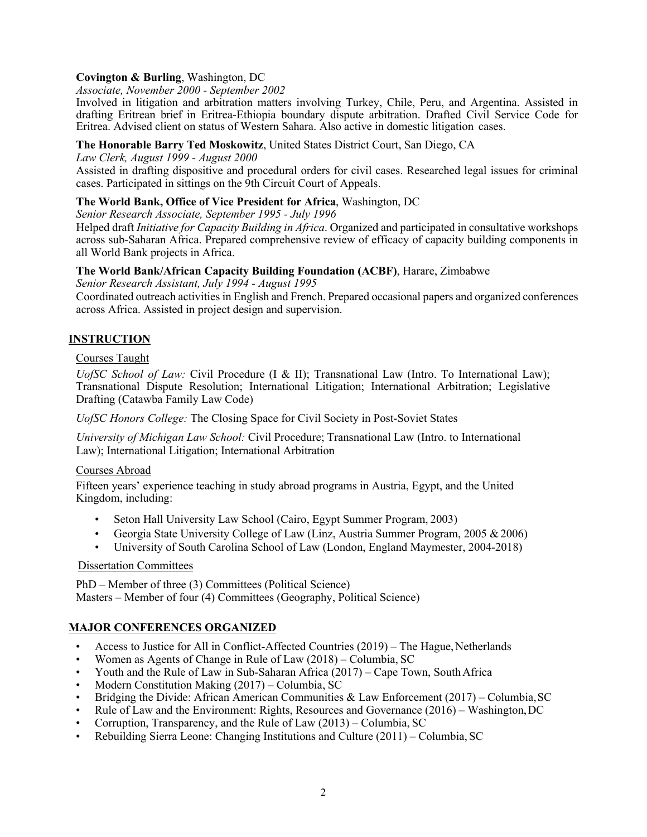## **Covington & Burling**, Washington, DC

 *Associate, November 2000 - September 2002* 

 Involved in litigation and arbitration matters involving Turkey, Chile, Peru, and Argentina. Assisted in drafting Eritrean brief in Eritrea-Ethiopia boundary dispute arbitration. Drafted Civil Service Code for Eritrea. Advised client on status of Western Sahara. Also active in domestic litigation cases.

## **The Honorable Barry Ted Moskowitz**, United States District Court, San Diego, CA

 *Law Clerk, August 1999 - August 2000* 

 Assisted in drafting dispositive and procedural orders for civil cases. Researched legal issues for criminal cases. Participated in sittings on the 9th Circuit Court of Appeals.

## **The World Bank, Office of Vice President for Africa**, Washington, DC

 *Senior Research Associate, September 1995 - July 1996* 

 Helped draft *Initiative for Capacity Building in Africa*. Organized and participated in consultative workshops across sub-Saharan Africa. Prepared comprehensive review of efficacy of capacity building components in all World Bank projects in Africa.

## **The World Bank/African Capacity Building Foundation (ACBF)**, Harare, Zimbabwe

*Senior Research Assistant, July 1994 - August 1995* 

 Coordinated outreach activities in English and French. Prepared occasional papers and organized conferences across Africa. Assisted in project design and supervision.

# **INSTRUCTION**

### Courses Taught

UofSC School of Law: Civil Procedure (I & II); Transnational Law (Intro. To International Law); Transnational Dispute Resolution; International Litigation; International Arbitration; Legislative Drafting (Catawba Family Law Code)

*UofSC Honors College:* The Closing Space for Civil Society in Post-Soviet States

 *University of Michigan Law School:* Civil Procedure; Transnational Law (Intro. to International Law); International Litigation; International Arbitration

### Courses Abroad

 Fifteen years' experience teaching in study abroad programs in Austria, Egypt, and the United Kingdom, including:

- Seton Hall University Law School (Cairo, Egypt Summer Program, 2003)
- Georgia State University College of Law (Linz, Austria Summer Program, 2005 & 2006)
- University of South Carolina School of Law (London, England Maymester, 2004-2018)

### Dissertation Committees

 PhD – Member of three (3) Committees (Political Science) Masters – Member of four (4) Committees (Geography, Political Science)

# **MAJOR CONFERENCES ORGANIZED**

- Access to Justice for All in Conflict-Affected Countries (2019) The Hague, Netherlands
- Women as Agents of Change in Rule of Law (2018) Columbia, SC
- Youth and the Rule of Law in Sub-Saharan Africa (2017) Cape Town, South Africa
- Modern Constitution Making (2017) Columbia, SC
- Bridging the Divide: African American Communities & Law Enforcement (2017) Columbia, SC
- Rule of Law and the Environment: Rights, Resources and Governance (2016) Washington, DC
- Corruption, Transparency, and the Rule of Law (2013) Columbia, SC
- Rebuilding Sierra Leone: Changing Institutions and Culture (2011) Columbia, SC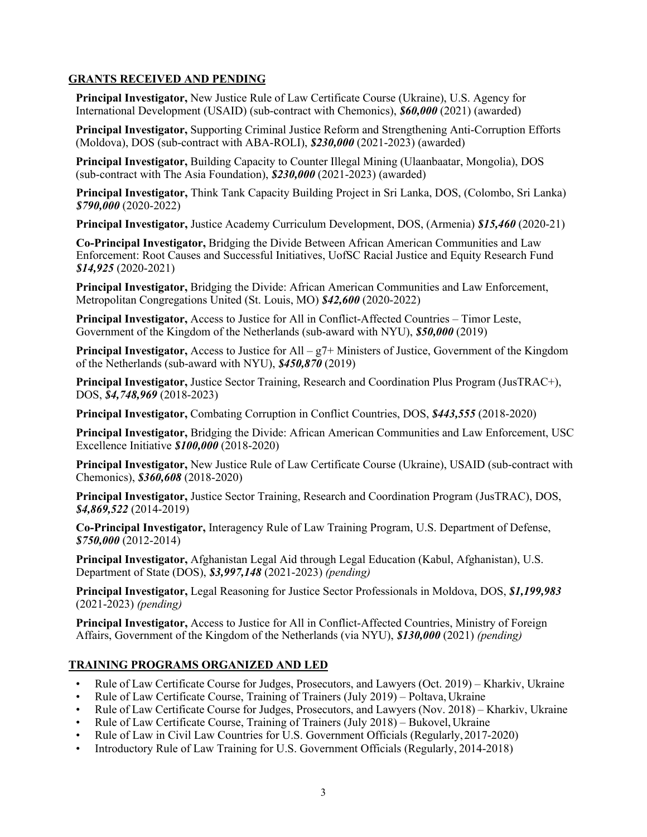# **GRANTS RECEIVED AND PENDING**

 **Principal Investigator,** New Justice Rule of Law Certificate Course (Ukraine), U.S. Agency for International Development (USAID) (sub-contract with Chemonics), *\$60,000* (2021) (awarded)

 (Moldova), DOS (sub-contract with ABA-ROLI), *\$230,000* (2021-2023) (awarded) **Principal Investigator,** Supporting Criminal Justice Reform and Strengthening Anti-Corruption Efforts

 **Principal Investigator,** Building Capacity to Counter Illegal Mining (Ulaanbaatar, Mongolia), DOS (sub-contract with The Asia Foundation), *\$230,000* (2021-2023) (awarded)

 **Principal Investigator,** Think Tank Capacity Building Project in Sri Lanka, DOS, (Colombo, Sri Lanka) *\$790,000* (2020-2022)

**Principal Investigator,** Justice Academy Curriculum Development, DOS, (Armenia) *\$15,460* (2020-21)

 **Co-Principal Investigator,** Bridging the Divide Between African American Communities and Law Enforcement: Root Causes and Successful Initiatives, UofSC Racial Justice and Equity Research Fund *\$14,925* (2020-2021)

 **Principal Investigator,** Bridging the Divide: African American Communities and Law Enforcement, Metropolitan Congregations United (St. Louis, MO) *\$42,600* (2020-2022)

 **Principal Investigator,** Access to Justice for All in Conflict-Affected Countries – Timor Leste, Government of the Kingdom of the Netherlands (sub-award with NYU), *\$50,000* (2019)

 **Principal Investigator,** Access to Justice for All – g7+ Ministers of Justice, Government of the Kingdom of the Netherlands (sub-award with NYU), *\$450,870* (2019)

**Principal Investigator,** Justice Sector Training, Research and Coordination Plus Program (JusTRAC+), DOS, *\$4,748,969* (2018-2023)

**Principal Investigator,** Combating Corruption in Conflict Countries, DOS, *\$443,555* (2018-2020)

 **Principal Investigator,** Bridging the Divide: African American Communities and Law Enforcement, USC Excellence Initiative *\$100,000* (2018-2020)

 **Principal Investigator,** New Justice Rule of Law Certificate Course (Ukraine), USAID (sub-contract with Chemonics), *\$360,608* (2018-2020)

**Principal Investigator,** Justice Sector Training, Research and Coordination Program (JusTRAC), DOS, *\$4,869,522* (2014-2019)

**Co-Principal Investigator,** Interagency Rule of Law Training Program, U.S. Department of Defense, *\$750,000* (2012-2014)

 **Principal Investigator,** Afghanistan Legal Aid through Legal Education (Kabul, Afghanistan), U.S. Department of State (DOS), *\$3,997,148* (2021-2023) *(pending)* 

 **Principal Investigator,** Legal Reasoning for Justice Sector Professionals in Moldova, DOS, *\$1,199,983*  (2021-2023) *(pending)* 

 **Principal Investigator,** Access to Justice for All in Conflict-Affected Countries, Ministry of Foreign Affairs, Government of the Kingdom of the Netherlands (via NYU), *\$130,000* (2021) *(pending)* 

# **TRAINING PROGRAMS ORGANIZED AND LED**

- Rule of Law Certificate Course for Judges, Prosecutors, and Lawyers (Oct. 2019) Kharkiv, Ukraine
- Rule of Law Certificate Course, Training of Trainers (July 2019) Poltava, Ukraine
- Rule of Law Certificate Course for Judges, Prosecutors, and Lawyers (Nov. 2018) Kharkiv, Ukraine
- Rule of Law Certificate Course, Training of Trainers (July 2018) Bukovel, Ukraine
- Rule of Law in Civil Law Countries for U.S. Government Officials (Regularly,2017-2020)
- Introductory Rule of Law Training for U.S. Government Officials (Regularly, 2014-2018)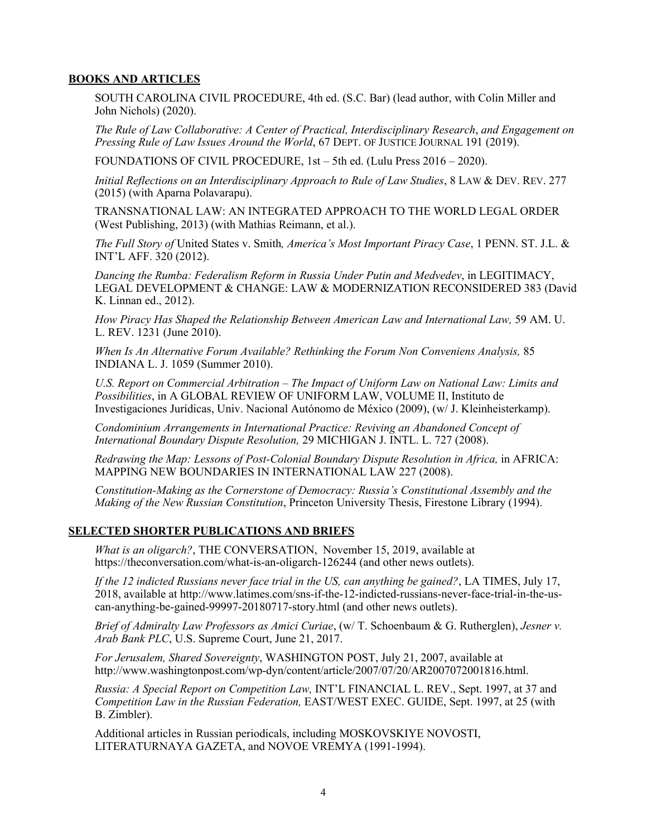### **BOOKS AND ARTICLES**

 SOUTH CAROLINA CIVIL PROCEDURE, 4th ed. (S.C. Bar) (lead author, with Colin Miller and John Nichols) (2020).

 *The Rule of Law Collaborative: A Center of Practical, Interdisciplinary Research*, *and Engagement on Pressing Rule of Law Issues Around the World*, 67 DEPT. OF JUSTICE JOURNAL 191 (2019).

FOUNDATIONS OF CIVIL PROCEDURE, 1st – 5th ed. (Lulu Press 2016 – 2020).

*Initial Reflections on an Interdisciplinary Approach to Rule of Law Studies*, 8 LAW & DEV. REV. 277 (2015) (with Aparna Polavarapu).

TRANSNATIONAL LAW: AN INTEGRATED APPROACH TO THE WORLD LEGAL ORDER (West Publishing, 2013) (with Mathias Reimann, et al.).

 *The Full Story of* United States v. Smith*, America's Most Important Piracy Case*, 1 PENN. ST. J.L. & INT'L AFF. 320 (2012).

 *Dancing the Rumba: Federalism Reform in Russia Under Putin and Medvedev*, in LEGITIMACY, LEGAL DEVELOPMENT & CHANGE: LAW & MODERNIZATION RECONSIDERED 383 (David K. Linnan ed., 2012).

 *How Piracy Has Shaped the Relationship Between American Law and International Law,* 59 AM. U. L. REV. 1231 (June 2010).

 *When Is An Alternative Forum Available? Rethinking the Forum Non Conveniens Analysis,* 85 INDIANA L. J. 1059 (Summer 2010).

U.S. Report on Commercial Arbitration – The Impact of Uniform Law on National Law: Limits and *Possibilities*, in A GLOBAL REVIEW OF UNIFORM LAW, VOLUME II, Instituto de Investigaciones Jurídicas, Univ. Nacional Autónomo de México (2009), (w/ J. Kleinheisterkamp).

 *Condominium Arrangements in International Practice: Reviving an Abandoned Concept of International Boundary Dispute Resolution,* 29 MICHIGAN J. INTL. L. 727 (2008).

Redrawing the Map: Lessons of Post-Colonial Boundary Dispute Resolution in Africa, in AFRICA: MAPPING NEW BOUNDARIES IN INTERNATIONAL LAW 227 (2008).

 *Constitution-Making as the Cornerstone of Democracy: Russia's Constitutional Assembly and the Making of the New Russian Constitution*, Princeton University Thesis, Firestone Library (1994).

### **SELECTED SHORTER PUBLICATIONS AND BRIEFS**

What is an oligarch?, THE CONVERSATION, November 15, 2019, available at <https://theconversation.com/what-is-an-oligarch-126244>(and other news outlets).

 2018, available at<http://www.latimes.com/sns-if-the-12-indicted-russians-never-face-trial-in-the-us>-*If the 12 indicted Russians never face trial in the US, can anything be gained?*, LA TIMES, July 17, can-anything-be-gained-99997-20180717-story.html (and other news outlets).

 *Brief of Admiralty Law Professors as Amici Curiae*, (w/ T. Schoenbaum & G. Rutherglen), *Jesner v. Arab Bank PLC*, U.S. Supreme Court, June 21, 2017.

 *For Jerusalem, Shared Sovereignty*, WASHINGTON POST, July 21, 2007, available at [http://www.washingtonpost.com/wp-dyn/content/article/2007/07/20/AR2007072001816.html.](http://www.washingtonpost.com/wp-dyn/content/article/2007/07/20/AR2007072001816.html)

 *Russia: A Special Report on Competition Law,* INT'L FINANCIAL L. REV., Sept. 1997, at 37 and *Competition Law in the Russian Federation,* EAST/WEST EXEC. GUIDE, Sept. 1997, at 25 (with B. Zimbler).

 Additional articles in Russian periodicals, including MOSKOVSKIYE NOVOSTI, LITERATURNAYA GAZETA, and NOVOE VREMYA (1991-1994).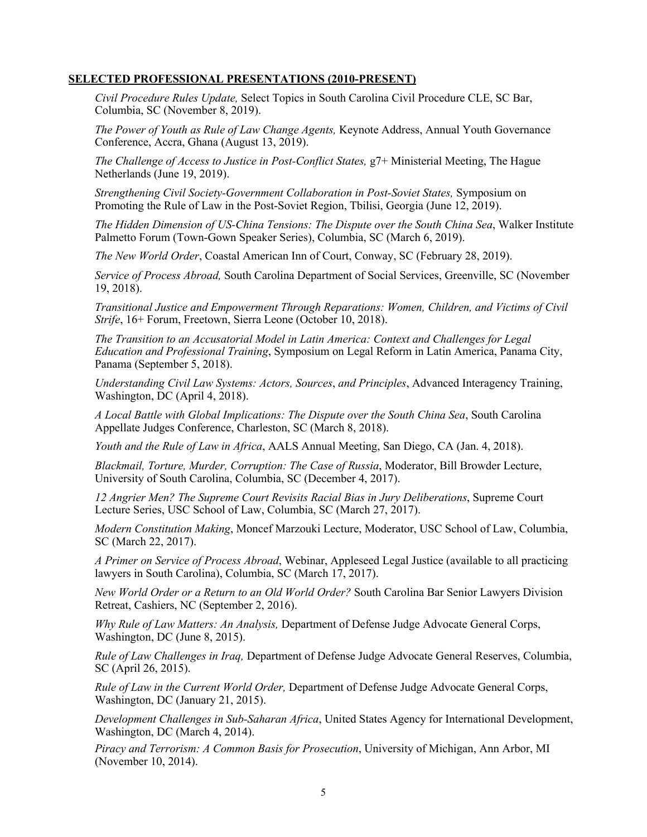#### **SELECTED PROFESSIONAL PRESENTATIONS (2010-PRESENT)**

 *Civil Procedure Rules Update,* Select Topics in South Carolina Civil Procedure CLE, SC Bar, Columbia, SC (November 8, 2019).

 *The Power of Youth as Rule of Law Change Agents,* Keynote Address, Annual Youth Governance Conference, Accra, Ghana (August 13, 2019).

The Challenge of Access to Justice in Post-Conflict States, g7+ Ministerial Meeting, The Hague Netherlands (June 19, 2019).

 *Strengthening Civil Society-Government Collaboration in Post-Soviet States,* Symposium on Promoting the Rule of Law in the Post-Soviet Region, Tbilisi, Georgia (June 12, 2019).

 *The Hidden Dimension of US-China Tensions: The Dispute over the South China Sea*, Walker Institute Palmetto Forum (Town-Gown Speaker Series), Columbia, SC (March 6, 2019).

*The New World Order*, Coastal American Inn of Court, Conway, SC (February 28, 2019).

 *Service of Process Abroad,* South Carolina Department of Social Services, Greenville, SC (November 19, 2018).

 *Transitional Justice and Empowerment Through Reparations: Women, Children, and Victims of Civil Strife*, 16+ Forum, Freetown, Sierra Leone (October 10, 2018).

 *The Transition to an Accusatorial Model in Latin America: Context and Challenges for Legal Education and Professional Training*, Symposium on Legal Reform in Latin America, Panama City, Panama (September 5, 2018).

 *Understanding Civil Law Systems: Actors, Sources*, *and Principles*, Advanced Interagency Training, Washington, DC (April 4, 2018).

 *A Local Battle with Global Implications: The Dispute over the South China Sea*, South Carolina Appellate Judges Conference, Charleston, SC (March 8, 2018).

 *Youth and the Rule of Law in Africa*, AALS Annual Meeting, San Diego, CA (Jan. 4, 2018).

 *Blackmail, Torture, Murder, Corruption: The Case of Russia*, Moderator, Bill Browder Lecture, University of South Carolina, Columbia, SC (December 4, 2017).

 *12 Angrier Men? The Supreme Court Revisits Racial Bias in Jury Deliberations*, Supreme Court Lecture Series, USC School of Law, Columbia, SC (March 27, 2017).

 *Modern Constitution Making*, Moncef Marzouki Lecture, Moderator, USC School of Law, Columbia, SC (March 22, 2017).

 *A Primer on Service of Process Abroad*, Webinar, Appleseed Legal Justice (available to all practicing lawyers in South Carolina), Columbia, SC (March 17, 2017).

 *New World Order or a Return to an Old World Order?* South Carolina Bar Senior Lawyers Division Retreat, Cashiers, NC (September 2, 2016).

 *Why Rule of Law Matters: An Analysis,* Department of Defense Judge Advocate General Corps, Washington, DC (June 8, 2015).

 *Rule of Law Challenges in Iraq,* Department of Defense Judge Advocate General Reserves, Columbia, SC (April 26, 2015).

 *Rule of Law in the Current World Order,* Department of Defense Judge Advocate General Corps, Washington, DC (January 21, 2015).

 *Development Challenges in Sub-Saharan Africa*, United States Agency for International Development, Washington, DC (March 4, 2014).

 *Piracy and Terrorism: A Common Basis for Prosecution*, University of Michigan, Ann Arbor, MI (November 10, 2014).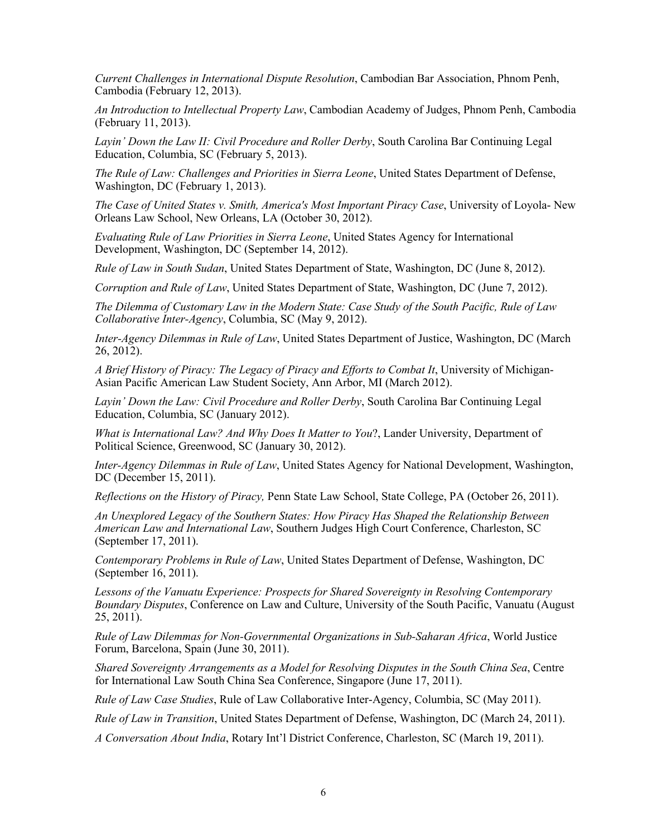Cambodia (February 12, 2013). *Current Challenges in International Dispute Resolution*, Cambodian Bar Association, Phnom Penh,

 *An Introduction to Intellectual Property Law*, Cambodian Academy of Judges, Phnom Penh, Cambodia (February 11, 2013).

 *Layin' Down the Law II: Civil Procedure and Roller Derby*, South Carolina Bar Continuing Legal Education, Columbia, SC (February 5, 2013).

 *The Rule of Law: Challenges and Priorities in Sierra Leone*, United States Department of Defense, Washington, DC (February 1, 2013).

 *The Case of United States v. Smith, America's Most Important Piracy Case*, University of Loyola- New Orleans Law School, New Orleans, LA (October 30, 2012).

 *Evaluating Rule of Law Priorities in Sierra Leone*, United States Agency for International Development, Washington, DC (September 14, 2012).

 *Rule of Law in South Sudan*, United States Department of State, Washington, DC (June 8, 2012).

 *Corruption and Rule of Law*, United States Department of State, Washington, DC (June 7, 2012).

 *The Dilemma of Customary Law in the Modern State: Case Study of the South Pacific, Rule of Law Collaborative Inter-Agency*, Columbia, SC (May 9, 2012).

 *Inter-Agency Dilemmas in Rule of Law*, United States Department of Justice, Washington, DC (March 26, 2012).

 *A Brief History of Piracy: The Legacy of Piracy and Efforts to Combat It*, University of Michigan-Asian Pacific American Law Student Society, Ann Arbor, MI (March 2012).

 *Layin' Down the Law: Civil Procedure and Roller Derby*, South Carolina Bar Continuing Legal Education, Columbia, SC (January 2012).

What is International Law? And Why Does It Matter to You?, Lander University, Department of Political Science, Greenwood, SC (January 30, 2012).

 *Inter-Agency Dilemmas in Rule of Law*, United States Agency for National Development, Washington, DC (December 15, 2011).

 *Reflections on the History of Piracy,* Penn State Law School, State College, PA (October 26, 2011).

 *An Unexplored Legacy of the Southern States: How Piracy Has Shaped the Relationship Between American Law and International Law*, Southern Judges High Court Conference, Charleston, SC (September 17, 2011).

 *Contemporary Problems in Rule of Law*, United States Department of Defense, Washington, DC (September 16, 2011).

 *Lessons of the Vanuatu Experience: Prospects for Shared Sovereignty in Resolving Contemporary Boundary Disputes*, Conference on Law and Culture, University of the South Pacific, Vanuatu (August 25, 2011).

 *Rule of Law Dilemmas for Non-Governmental Organizations in Sub-Saharan Africa*, World Justice Forum, Barcelona, Spain (June 30, 2011).

 *Shared Sovereignty Arrangements as a Model for Resolving Disputes in the South China Sea*, Centre for International Law South China Sea Conference, Singapore (June 17, 2011).

 *Rule of Law Case Studies*, Rule of Law Collaborative Inter-Agency, Columbia, SC (May 2011).

 *Rule of Law in Transition*, United States Department of Defense, Washington, DC (March 24, 2011).

 *A Conversation About India*, Rotary Int'l District Conference, Charleston, SC (March 19, 2011).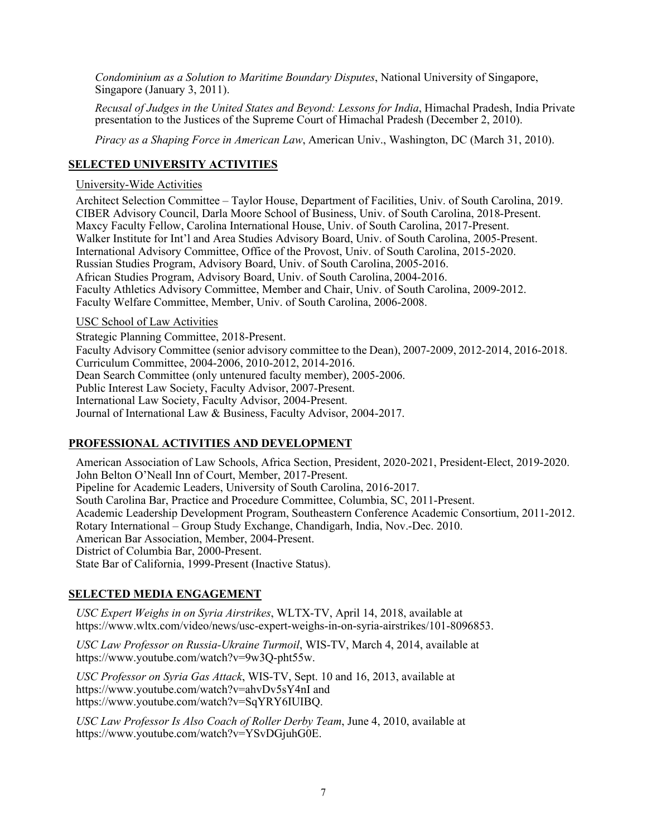*Condominium as a Solution to Maritime Boundary Disputes*, National University of Singapore, Singapore (January 3, 2011).

 *Recusal of Judges in the United States and Beyond: Lessons for India*, Himachal Pradesh, India Private presentation to the Justices of the Supreme Court of Himachal Pradesh (December 2, 2010).

 *Piracy as a Shaping Force in American Law*, American Univ., Washington, DC (March 31, 2010).

## **SELECTED UNIVERSITY ACTIVITIES**

#### University-Wide Activities

 Architect Selection Committee – Taylor House, Department of Facilities, Univ. of South Carolina, 2019. CIBER Advisory Council, Darla Moore School of Business, Univ. of South Carolina, 2018-Present. Maxcy Faculty Fellow, Carolina International House, Univ. of South Carolina, 2017-Present. Walker Institute for Int'l and Area Studies Advisory Board, Univ. of South Carolina, 2005-Present. Russian Studies Program, Advisory Board, Univ. of South Carolina, 2005-2016. African Studies Program, Advisory Board, Univ. of South Carolina, 2004-2016. Faculty Athletics Advisory Committee, Member and Chair, Univ. of South Carolina, 2009-2012. Faculty Welfare Committee, Member, Univ. of South Carolina, 2006-2008. International Advisory Committee, Office of the Provost, Univ. of South Carolina, 2015-2020.

#### USC School of Law Activities

 Faculty Advisory Committee (senior advisory committee to the Dean), 2007-2009, 2012-2014, 2016-2018. Curriculum Committee, 2004-2006, 2010-2012, 2014-2016. Dean Search Committee (only untenured faculty member), 2005-2006. Public Interest Law Society, Faculty Advisor, 2007-Present. Strategic Planning Committee, 2018-Present. International Law Society, Faculty Advisor, 2004-Present. Journal of International Law & Business, Faculty Advisor, 2004-2017.

### **PROFESSIONAL ACTIVITIES AND DEVELOPMENT**

 South Carolina Bar, Practice and Procedure Committee, Columbia, SC, 2011-Present. Academic Leadership Development Program, Southeastern Conference Academic Consortium, 2011-2012. Rotary International – Group Study Exchange, Chandigarh, India, Nov.-Dec. 2010. American Bar Association, Member, 2004-Present. District of Columbia Bar, 2000-Present. State Bar of California, 1999-Present (Inactive Status). American Association of Law Schools, Africa Section, President, 2020-2021, President-Elect, 2019-2020. John Belton O'Neall Inn of Court, Member, 2017-Present. Pipeline for Academic Leaders, University of South Carolina, 2016-2017.

### **SELECTED MEDIA ENGAGEMENT**

 *USC Expert Weighs in on Syria Airstrikes*, WLTX-TV, April 14, 2018, available at [https://www.wltx.com/video/news/usc-expert-weighs-in-on-syria-airstrikes/101-8096853.](https://www.wltx.com/video/news/usc-expert-weighs-in-on-syria-airstrikes/101-8096853)

 *USC Law Professor on Russia-Ukraine Turmoil*, WIS-TV, March 4, 2014, available at [https://www.youtube.com/watch?v=9w3Q-pht55w.](https://www.youtube.com/watch?v=9w3Q-pht55w)

 *USC Professor on Syria Gas Attack*, WIS-TV, Sept. 10 and 16, 2013, available at <https://www.youtube.com/watch?v=ahvDv5sY4nI>and <https://www.youtube.com/watch?v=SqYRY6IUIBQ>.

 *USC Law Professor Is Also Coach of Roller Derby Team*, June 4, 2010, available at [https://www.youtube.com/watch?v=YSvDGjuhG0E.](https://www.youtube.com/watch?v=YSvDGjuhG0E)